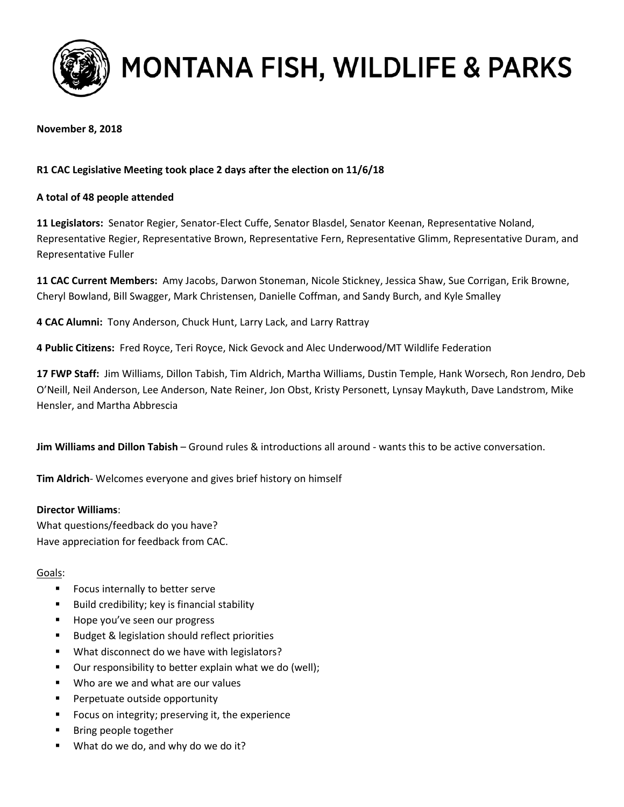

**November 8, 2018**

## **R1 CAC Legislative Meeting took place 2 days after the election on 11/6/18**

#### **A total of 48 people attended**

**11 Legislators:** Senator Regier, Senator-Elect Cuffe, Senator Blasdel, Senator Keenan, Representative Noland, Representative Regier, Representative Brown, Representative Fern, Representative Glimm, Representative Duram, and Representative Fuller

**11 CAC Current Members:** Amy Jacobs, Darwon Stoneman, Nicole Stickney, Jessica Shaw, Sue Corrigan, Erik Browne, Cheryl Bowland, Bill Swagger, Mark Christensen, Danielle Coffman, and Sandy Burch, and Kyle Smalley

**4 CAC Alumni:** Tony Anderson, Chuck Hunt, Larry Lack, and Larry Rattray

**4 Public Citizens:** Fred Royce, Teri Royce, Nick Gevock and Alec Underwood/MT Wildlife Federation

**17 FWP Staff:** Jim Williams, Dillon Tabish, Tim Aldrich, Martha Williams, Dustin Temple, Hank Worsech, Ron Jendro, Deb O'Neill, Neil Anderson, Lee Anderson, Nate Reiner, Jon Obst, Kristy Personett, Lynsay Maykuth, Dave Landstrom, Mike Hensler, and Martha Abbrescia

**Jim Williams and Dillon Tabish** – Ground rules & introductions all around - wants this to be active conversation.

**Tim Aldrich**- Welcomes everyone and gives brief history on himself

#### **Director Williams**:

What questions/feedback do you have? Have appreciation for feedback from CAC.

#### Goals:

- **Focus internally to better serve**
- Build credibility; key is financial stability
- Hope you've seen our progress
- Budget & legislation should reflect priorities
- What disconnect do we have with legislators?
- Our responsibility to better explain what we do (well);
- Who are we and what are our values
- Perpetuate outside opportunity
- Focus on integrity; preserving it, the experience
- Bring people together
- What do we do, and why do we do it?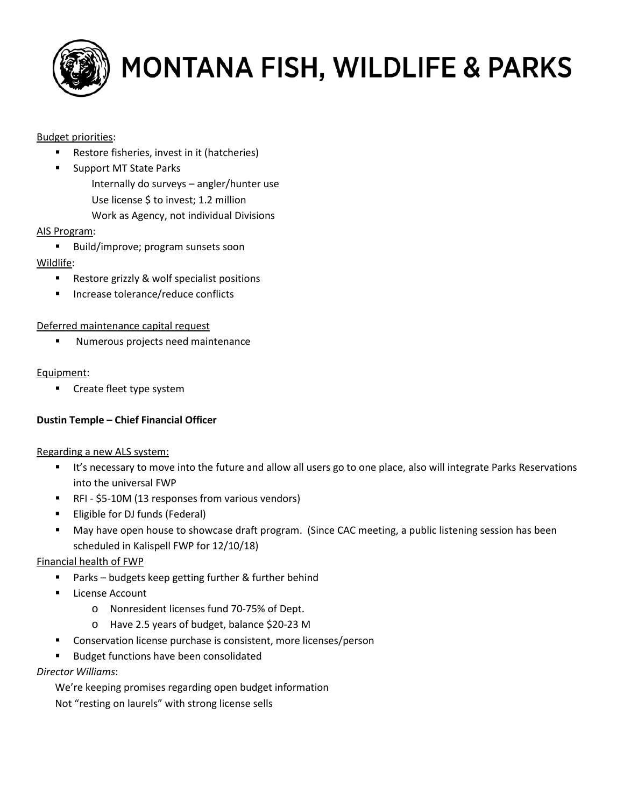

## Budget priorities:

- Restore fisheries, invest in it (hatcheries)
- **Support MT State Parks** Internally do surveys – angler/hunter use Use license \$ to invest; 1.2 million Work as Agency, not individual Divisions

#### AIS Program:

- **Build/improve; program sunsets soon** Wildlife:
	- **Restore grizzly & wolf specialist positions**
	- **Increase tolerance/reduce conflicts**

## Deferred maintenance capital request

**Numerous projects need maintenance** 

## Equipment:

**Create fleet type system** 

## **Dustin Temple – Chief Financial Officer**

## Regarding a new ALS system:

- It's necessary to move into the future and allow all users go to one place, also will integrate Parks Reservations into the universal FWP
- **RFI-S5-10M (13 responses from various vendors)**
- Eligible for DJ funds (Federal)
- May have open house to showcase draft program. (Since CAC meeting, a public listening session has been scheduled in Kalispell FWP for 12/10/18)

## Financial health of FWP

- **Parks budgets keep getting further & further behind**
- **E** License Account
	- o Nonresident licenses fund 70-75% of Dept.
	- o Have 2.5 years of budget, balance \$20-23 M
- Conservation license purchase is consistent, more licenses/person
- **Budget functions have been consolidated**

*Director Williams*:

We're keeping promises regarding open budget information Not "resting on laurels" with strong license sells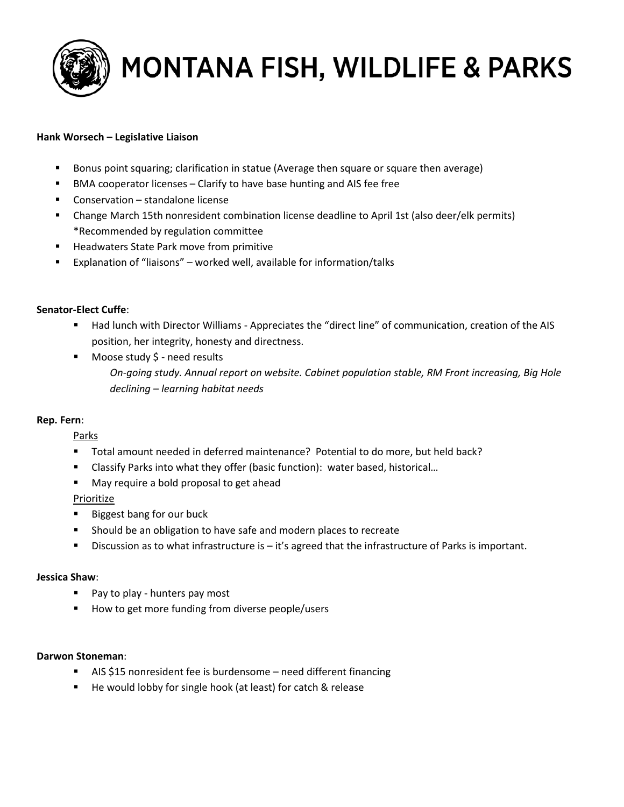

## **Hank Worsech – Legislative Liaison**

- Bonus point squaring; clarification in statue (Average then square or square then average)
- BMA cooperator licenses Clarify to have base hunting and AIS fee free
- Conservation standalone license
- Change March 15th nonresident combination license deadline to April 1st (also deer/elk permits) \*Recommended by regulation committee
- Headwaters State Park move from primitive
- Explanation of "liaisons" worked well, available for information/talks

#### **Senator-Elect Cuffe**:

- Had lunch with Director Williams Appreciates the "direct line" of communication, creation of the AIS position, her integrity, honesty and directness.
	- Moose study \$ need results *On-going study. Annual report on website. Cabinet population stable, RM Front increasing, Big Hole declining – learning habitat needs*

#### **Rep. Fern**:

Parks

- Total amount needed in deferred maintenance? Potential to do more, but held back?
- Classify Parks into what they offer (basic function): water based, historical...
- **May require a bold proposal to get ahead**

Prioritize

- **Biggest bang for our buck**
- **Should be an obligation to have safe and modern places to recreate**
- Discussion as to what infrastructure is it's agreed that the infrastructure of Parks is important.

#### **Jessica Shaw**:

- **Pay to play hunters pay most**
- How to get more funding from diverse people/users

#### **Darwon Stoneman**:

- AIS \$15 nonresident fee is burdensome need different financing
- He would lobby for single hook (at least) for catch & release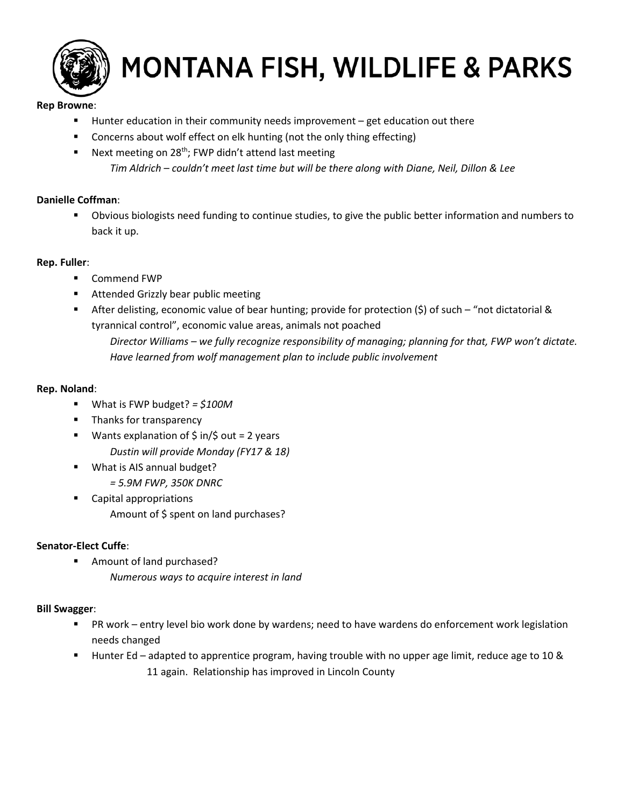

## **Rep Browne**:

- Hunter education in their community needs improvement get education out there
- Concerns about wolf effect on elk hunting (not the only thing effecting)
- Next meeting on 28<sup>th</sup>; FWP didn't attend last meeting *Tim Aldrich – couldn't meet last time but will be there along with Diane, Neil, Dillon & Lee*

## **Danielle Coffman**:

 Obvious biologists need funding to continue studies, to give the public better information and numbers to back it up.

#### **Rep. Fuller**:

- **E** Commend FWP
- Attended Grizzly bear public meeting
- After delisting, economic value of bear hunting; provide for protection (\$) of such "not dictatorial & tyrannical control", economic value areas, animals not poached

*Director Williams – we fully recognize responsibility of managing; planning for that, FWP won't dictate. Have learned from wolf management plan to include public involvement*

#### **Rep. Noland**:

- What is FWP budget? *= \$100M*
- Thanks for transparency
- Wants explanation of  $\sin/5$  out = 2 years
	- *Dustin will provide Monday (FY17 & 18)*
- What is AIS annual budget?
	- *= 5.9M FWP, 350K DNRC*
- Capital appropriations Amount of \$ spent on land purchases?

## **Senator-Elect Cuffe**:

**Amount of land purchased?** *Numerous ways to acquire interest in land*

#### **Bill Swagger**:

- PR work entry level bio work done by wardens; need to have wardens do enforcement work legislation needs changed
- Hunter Ed adapted to apprentice program, having trouble with no upper age limit, reduce age to 10 & 11 again. Relationship has improved in Lincoln County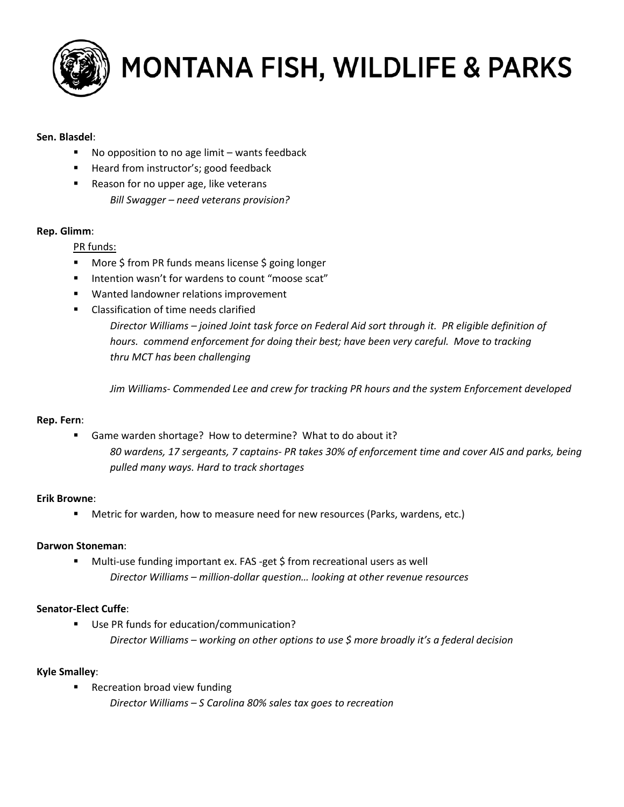

#### **Sen. Blasdel**:

- No opposition to no age limit wants feedback
- Heard from instructor's; good feedback
- **Reason for no upper age, like veterans** *Bill Swagger – need veterans provision?*

#### **Rep. Glimm**:

PR funds:

- More \$ from PR funds means license \$ going longer
- Intention wasn't for wardens to count "moose scat"
- Wanted landowner relations improvement
- Classification of time needs clarified *Director Williams – joined Joint task force on Federal Aid sort through it. PR eligible definition of hours. commend enforcement for doing their best; have been very careful. Move to tracking thru MCT has been challenging*

*Jim Williams- Commended Lee and crew for tracking PR hours and the system Enforcement developed*

#### **Rep. Fern**:

 Game warden shortage? How to determine? What to do about it? *80 wardens, 17 sergeants, 7 captains- PR takes 30% of enforcement time and cover AIS and parks, being pulled many ways. Hard to track shortages*

## **Erik Browne**:

Metric for warden, how to measure need for new resources (Parks, wardens, etc.)

#### **Darwon Stoneman**:

 Multi-use funding important ex. FAS -get \$ from recreational users as well *Director Williams – million-dollar question… looking at other revenue resources*

## **Senator-Elect Cuffe**:

 Use PR funds for education/communication? *Director Williams – working on other options to use \$ more broadly it's a federal decision*

#### **Kyle Smalley**:

**Recreation broad view funding** *Director Williams – S Carolina 80% sales tax goes to recreation*